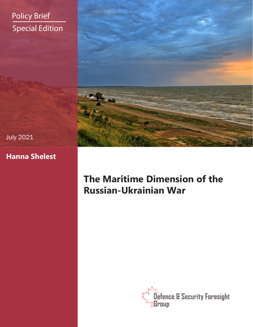# Policy Brief Special Edition



### July 2021

## **Hanna Shelest**

## **The Maritime Dimension of the Russian-Ukrainian War**

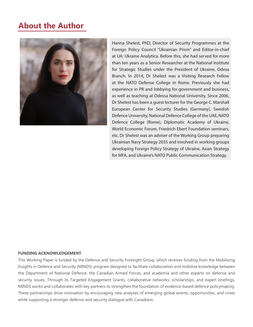## **About the Author**



Hanna Shelest, PhD, Director of Security Programmes at the Foreign Policy Council "Ukrainian Prism" and Editor-in-chief at UA: Ukraine Analytica. Before this, she had served for more than ten years as a Senior Researcher at the National Institute for Strategic Studies under the President of Ukraine, Odesa Branch. In 2014, Dr Shelest was a Visiting Research Fellow at the NATO Defense College in Rome. Previously she had experience in PR and lobbying for government and business, as well as teaching at Odessa National University. Since 2006, Dr Shelest has been a guest lecturer for the George C. Marshall European Center for Security Studies (Germany), Swedish Defence University, National Defence College of the UAE, NATO Defence College (Rome), Diplomatic Academy of Ukraine, World Economic Forum, Friedrich Ebert Foundation seminars, etc. Dr Shelest was an adviser of the Working Group preparing Ukrainian Navy Strategy 2035 and involved in working groups developing Foreign Policy Strategy of Ukraine, Asian Strategy for MFA, and Ukraine's NATO Public Communication Strategy.

#### **FUNDING ACKNOWLEDGEMENT**

This Working Paper is funded by the Defence and Security Foresight Group, which receives funding from the Mobilizing Insights in Defence and Security (MINDS) program designed to facilitate collaboration and mobilize knowledge between the Department of National Defence, the Canadian Armed Forces, and academia and other experts on defence and security issues. Through its Targeted Engagement Grants, collaborative networks, scholarships, and expert briefings, MINDS works and collaborates with key partners to strengthen the foundation of evidence-based defence policymaking. These partnerships drive innovation by encouraging new analyses of emerging global events, opportunities, and crises while supporting a stronger defence and security dialogue with Canadians.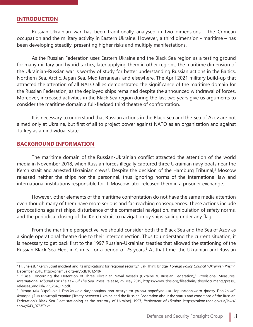#### **INTRODUCTION**

Russian-Ukrainian war has been traditionally analysed in two dimensions - the Crimean occupation and the military activity in Eastern Ukraine. However, a third dimension - maritime – has been developing steadily, presenting higher risks and multiply manifestations.

As the Russian Federation uses Eastern Ukraine and the Black Sea region as a testing ground for many military and hybrid tactics, later applying them in other regions, the maritime dimension of the Ukrainian-Russian war is worthy of study for better understanding Russian actions in the Baltics, Northern Sea, Arctic, Japan Sea, Mediterranean, and elsewhere. The April 2021 military build-up that attracted the attention of all NATO allies demonstrated the significance of the maritime domain for the Russian Federation, as the deployed ships remained despite the announced withdrawal of forces. Moreover, increased activities in the Black Sea region during the last two years give us arguments to consider the maritime domain a full-fledged third theatre of confrontation.

It is necessary to understand that Russian actions in the Black Sea and the Sea of Azov are not aimed only at Ukraine, but first of all to project power against NATO as an organization and against Turkey as an individual state.

#### **BACKGROUND INFORMATION**

The maritime domain of the Russian-Ukrainian conflict attracted the attention of the world media in November 2018, when Russian forces illegally captured three Ukrainian navy boats near the Kerch strait and arrested Ukrainian crews<sup>1</sup>. Despite the decision of the Hamburg Tribunal,<sup>2</sup> Moscow released neither the ships nor the personnel, thus ignoring norms of the international law and international institutions responsible for it. Moscow later released them in a prisoner exchange.

However, other elements of the maritime confrontation do not have the same media attention even though many of them have more serious and far-reaching consequences. These actions include provocations against ships, disturbance of the commercial navigation, manipulation of safety norms, and the periodical closing of the Kerch Strait to navigation by ships sailing under any flag.

From the maritime perspective, we should consider both the Black Sea and the Sea of Azov as a single operational theatre due to their interconnection. Thus to understand the current situation, it is necessary to get back first to the 1997 Russian-Ukrainian treaties that allowed the stationing of the Russian Black Sea Fleet in Crimea for a period of 25 years.<sup>3</sup> At that time, the Ukrainian and Russian

<sup>&</sup>lt;sup>1</sup> H. Shelest, "Kerch Strait incident and its implications for regional security," EaP Think Bridge, *Foreign Policy Council "Ukrainian Prism",* December 2018, http://prismua.org/en/pdf/1012-18/

<sup>&</sup>lt;sup>2</sup> "Case Concerning the Detention of Three Ukrainian Naval Vessels (Ukraine V. Russian Federation)," Provisional Measures, International Tribunal For The Law Of The Sea, Press Release, 25 May 2019, https://www.itlos.org/fileadmin/itlos/documents/press\_ releases\_english/PR\_284\_En.pdf.

<sup>&</sup>lt;sup>3</sup> Угода між Україною і Російською Федерацією про статус та умови перебування Чорноморського флоту Російської Федерації на території України [Treaty between Ukraine and the Russian Federation about the status and conditions of the Russian Federation's Black Sea Fleet stationing at the territory of Ukraine], 1997, Parliament of Ukraine, https://zakon.rada.gov.ua/laws/ show/643\_076#Text.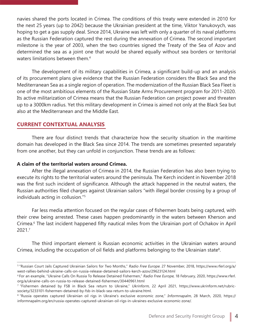navies shared the ports located in Crimea. The conditions of this treaty were extended in 2010 for the next 25 years (up to 2042) because the Ukrainian president at the time, Viktor Yanukovych, was hoping to get a gas supply deal. Since 2014, Ukraine was left with only a quarter of its naval platforms as the Russian Federation captured the rest during the annexation of Crimea. The second important milestone is the year of 2003, when the two countries signed the Treaty of the Sea of Azov and determined the sea as a joint one that would be shared equally without sea borders or territorial waters limitations between them.<sup>4</sup>

The development of its military capabilities in Crimea, a significant build-up and an analysis of its procurement plans give evidence that the Russian Federation considers the Black Sea and the Mediterranean Sea as a single region of operation. The modernization of the Russian Black Sea Fleet is one of the most ambitious elements of the Russian State Arms Procurement program for 2011-2020. Its active militarization of Crimea means that the Russian Federation can project power and threaten up to a 3000km radius. Yet this military development in Crimea is aimed not only at the Black Sea but also at the Mediterranean and the Middle East.

### **CURRENT CONTEXTUAL ANALYSIS**

There are four distinct trends that characterize how the security situation in the maritime domain has developed in the Black Sea since 2014. The trends are sometimes presented separately from one another, but they can unfold in conjunction. These trends are as follows:

#### **A claim of the territorial waters around Crimea.**

After the illegal annexation of Crimea in 2014, the Russian Federation has also been trying to execute its rights to the territorial waters around the peninsula. The Kerch incident in November 2018 was the first such incident of significance. Although the attack happened in the neutral waters, the Russian authorities filed charges against Ukrainian sailors "with illegal border crossing by a group of individuals acting in collusion."5

Far less media attention focused on the regular cases of fishermen boats being captured, with their crew being arrested. These cases happen predominantly in the waters between Kherson and Crimea.6 The last incident happened fifty nautical miles from the Ukrainian port of Ochakov in April 2021.<sup>7</sup>

The third important element is Russian economic activities in the Ukrainian waters around Crimea, including the occupation of oil fields and platforms belonging to the Ukrainian state<sup>8</sup>.

<sup>5 &</sup>quot;Russian Court Jails Captured Ukrainian Sailors for Two Months," Radio Free Europe. 27 November, 2018, https://www.rferl.org/a/ west-rallies-behind-ukraine-calls-on-russia-release-detained-sailors-kerch-azov/29623124.html

<sup>6</sup> For an example, "Ukraine Calls On Russia To Release Detained Fishermen," Radio Free Europe, 18 February, 2020, https://www.rferl. org/a/ukraine-calls-on-russia-to-release-detained-fishermen/30440961.html

<sup>7</sup> "Fishermen detained by FSB in Black Sea return to Ukraine," Ukrinform, 22 April 2021, https://www.ukrinform.net/rubricsociety/3233101-fishermen-detained-by-fsb-in-black-sea-return-to-ukraine.html.

<sup>&</sup>lt;sup>8</sup> "Russia operates captured Ukrainian oil rigs in Ukraine's exclusive economic zone," Informnapalm, 28 March, 2020, https:// informnapalm.org/en/russia-operates-captured-ukrainian-oil-rigs-in-ukraines-exclusive-economic-zone/.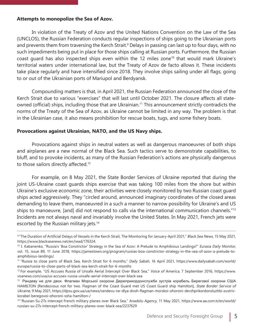#### **Attempts to monopolize the Sea of Azov.**

In violation of the Treaty of Azov and the United Nations Convention on the Law of the Sea (UNCLOS), the Russian Federation conducts regular inspections of ships going to the Ukrainian ports and prevents them from traversing the Kerch Strait.<sup>9</sup> Delays in passing can last up to four days, with no such impediments being put in place for those ships calling at Russian ports. Furthermore, the Russian coast guard has also inspected ships even within the 12 miles zone<sup>10</sup> that would mark Ukraine's territorial waters under international law, but the Treaty of Azov de facto allows it. These incidents take place regularly and have intensified since 2018. They involve ships sailing under all flags, going to or out of the Ukrainian ports of Mariupol and Berdyansk.

Compounding matters is that, in April 2021, the Russian Federation announced the close of the Kerch Strait due to various "exercises" that will last until October 2021. The closure affects all stateowned (official) ships, including those that are Ukrainian.<sup>11</sup> This announcement strictly contradicts the norms of the Treaty of the Sea of Azov, as Ukraine cannot be limited in any way. The problem is that in the Ukrainian case, it also means prohibition for rescue boats, tugs, and some fishery boats.

#### **Provocations against Ukrainian, NATO, and the US Navy ships.**

Provocations against ships in neutral waters as well as dangerous manoeuvres of both ships and airplanes are a new normal of the Black Sea. Such tactics serve to demonstrate capabilities, to bluff, and to provoke incidents, as many of the Russian Federation's actions are physically dangerous to those sailors directly affected.<sup>12</sup>

For example, on 8 May 2021, the State Border Services of Ukraine reported that during the joint US-Ukraine coast guards ships exercise that was taking 100 miles from the shore but within Ukraine's exclusive economic zone, their activities were closely monitored by two Russian coast guard ships acted aggressively. They "circled around, announced imaginary coordinates of the closed areas demanding to leave them, manoeuvred in a such a manner to narrow possibility for Ukraine's and US ships to manoeuvre, [and] did not respond to calls via the international communication channels."13 Incidents are not always naval and invariably involve the United States. In May 2021, French jets were escorted by the Russian military jets.<sup>14</sup>

<sup>&</sup>lt;sup>9</sup> "The Duration of Artificial Delays of Vessels in the Kerch Strait, The Monitoring for January-April 2021," Black Sea News, 15 May 2021, https://www.blackseanews.net/en/read/176324.

<sup>&</sup>lt;sup>10</sup> I. Kabanenko, "Russia's 'Boa Constrictor' Strategy in the Sea of Azov: A Prelude to Amphibious Landings?" Eurasia Daily Monitor, vol. 15, issue 89, 11 June 2018, https://jamestown.org/program/russias-boa-constrictor-strategy-in-the-sea-of-azov-a-prelude-toamphibious-landings/.

<sup>&</sup>lt;sup>11</sup> "Russia to close parts of Black Sea, Kerch Strait for 6 months," Daily Sabah, 16 April 2021, https://www.dailysabah.com/world/ europe/russia-to-close-parts-of-black-sea-kerch-strait-for-6-months

<sup>&</sup>lt;sup>12</sup> For example, "US Accuses Russia of Unsafe Aerial Intercept Over Black Sea," Voice of America, 7 September 2016, https://www. voanews.com/usa/us-accuses-russia-unsafe-aerial-intercept-over-black-sea

<sup>13</sup> Рандеву не для двох. Флагман Морської охорони Держприкордонслужби зустрів корабель Берегової охорони США HAMILTON [Rendezvous not for two. Flagman of the Coast Guard met US Coast Guard ship Hamilton], State Border Service of Ukraine, 9 May 2021, https://dpsu.gov.ua/ua/news/randevu-ne-dlya-dvoh-flagman-morskoi-ohoroni-derzhprikordonsluzhbi-zustrivkorabel-beregovoi-ohoroni-ssha-hamilton-/

<sup>&</sup>lt;sup>14</sup> "Russian Su-27s intercept French military planes over Black Sea," Anadolu Agency, 11 May 2021, https://www.aa.com.tr/en/world/ russian-su-27s-intercept-french-military-planes-over-black-sea/2237629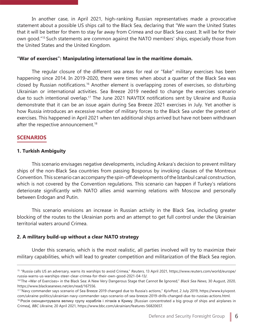In another case, in April 2021, high-ranking Russian representatives made a provocative statement about a possible US ships call to the Black Sea, declaring that "We warn the United States that it will be better for them to stay far away from Crimea and our Black Sea coast. It will be for their own good."15 Such statements are common against the NATO members' ships, especially those from the United States and the United Kingdom.

#### **"War of exercises": Manipulating international law in the maritime domain.**

The regular closure of the different sea areas for real or "fake" military exercises has been happening since 2014. In 2019-2020, there were times when about a quarter of the Black Sea was closed by Russian notifications.16 Another element is overlapping zones of exercises, so disturbing Ukrainian or international activities. Sea Breeze 2019 needed to change the exercises scenario due to such intentional overlap.<sup>17</sup> The June 2021 NAVTEX notifications sent by Ukraine and Russia demonstrate that it can be an issue again during Sea Breeze 2021 exercises in July. Yet another is how Russia introduces an excessive number of military forces to the Black Sea under the pretext of exercises. This happened in April 2021 when ten additional ships arrived but have not been withdrawn after the respective announcement.<sup>18</sup>

### **SCENARIOS**

#### **1. Turkish Ambiguity**

This scenario envisages negative developments, including Ankara's decision to prevent military ships of the non-Black Sea countries from passing Bosporus by invoking clauses of the Montreux Convention. This scenario can accompany the spin-off developments of the Istanbul canal construction, which is not covered by the Convention regulations. This scenario can happen if Turkey's relations deteriorate significantly with NATO allies amid warming relations with Moscow and personally between Erdogan and Putin.

This scenario envisions an increase in Russian activity in the Black Sea, including greater blocking of the routes to the Ukrainian ports and an attempt to get full control under the Ukrainian territorial waters around Crimea.

#### **2. A military build-up without a clear NATO strategy**

Under this scenario, which is the most realistic, all parties involved will try to maximize their military capabilities, which will lead to greater competition and militarization of the Black Sea region.

<sup>&</sup>lt;sup>15</sup> "Russia calls US an adversary, warns its warships to avoid Crimea," Reuters, 13 April 2021, https://www.reuters.com/world/europe/ russia-warns-us-warships-steer-clear-crimea-for-their-own-good-2021-04-13/.

<sup>16&</sup>quot;The «War of Exercises» in the Black Sea: A New Very Dangerous Stage that Cannot Be Ignored," Black Sea News, 30 August, 2020, https://www.blackseanews.net/en/read/167556.

<sup>&</sup>lt;sup>17</sup> "Navy commander says scenario of Sea Breeze 2019 changed due to Russia's actions," KyivPost, 2 July 2019, https://www.kyivpost. com/ukraine-politics/ukrainian-navy-commander-says-scenario-of-sea-breeze-2019-drills-changed-due-to-russias-actions.html.

<sup>&</sup>lt;sup>18</sup> Росія сконцентрувала велику групу кораблів і літаків в Криму. [Russian concentrated a big group of ships and airplanes in Crimea], BBC Ukraine, 20 April 2021, https://www.bbc.com/ukrainian/features-56820657.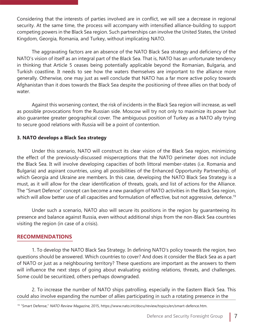Considering that the interests of parties involved are in conflict, we will see a decrease in regional security. At the same time, the process will accompany with intensified alliance-building to support competing powers in the Black Sea region. Such partnerships can involve the United States, the United Kingdom, Georgia, Romania, and Turkey, without implicating NATO.

The aggravating factors are an absence of the NATO Black Sea strategy and deficiency of the NATO's vision of itself as an integral part of the Black Sea. That is, NATO has an unfortunate tendency in thinking that Article 5 ceases being potentially applicable beyond the Romanian, Bulgaria, and Turkish coastline. It needs to see how the waters themselves are important to the alliance more generally. Otherwise, one may just as well conclude that NATO has a far more active policy towards Afghanistan than it does towards the Black Sea despite the positioning of three allies on that body of water.

Against this worsening context, the risk of incidents in the Black Sea region will increase, as well as possible provocations from the Russian side. Moscow will try not only to maximize its power but also guarantee greater geographical cover. The ambiguous position of Turkey as a NATO ally trying to secure good relations with Russia will be a point of contention.

### **3. NATO develops a Black Sea strategy**

Under this scenario, NATO will construct its clear vision of the Black Sea region, minimizing the effect of the previously-discussed misperceptions that the NATO perimeter does not include the Black Sea. It will involve developing capacities of both littoral member-states (i.e. Romania and Bulgaria) and aspirant countries, using all possibilities of the Enhanced Opportunity Partnership, of which Georgia and Ukraine are members. In this case, developing the NATO Black Sea Strategy is a must, as it will allow for the clear identification of threats, goals, and list of actions for the Alliance. The "Smart Defence" concept can become a new paradigm of NATO activities in the Black Sea region, which will allow better use of all capacities and formulation of effective, but not aggressive, defence.<sup>19</sup>

Under such a scenario, NATO also will secure its positions in the region by guaranteeing its presence and balance against Russia, even without additional ships from the non-Black Sea countries visiting the region (in case of a crisis).

### **RECOMMENDATIONS**

1. To develop the NATO Black Sea Strategy. In defining NATO's policy towards the region, two questions should be answered. Which countries to cover? And does it consider the Black Sea as a part of NATO or just as a neighbouring territory? These questions are important as the answers to them will influence the next steps of going about evaluating existing relations, threats, and challenges. Some could be securitized, others perhaps downgraded.

2. To increase the number of NATO ships patrolling, especially in the Eastern Black Sea. This could also involve expanding the number of allies participating in such a rotating presence in the

<sup>&</sup>lt;sup>19</sup> "Smart Defense," NATO Review Magazine, 2015, https://www.nato.int/docu/review/topics/en/smart-defence.htm.